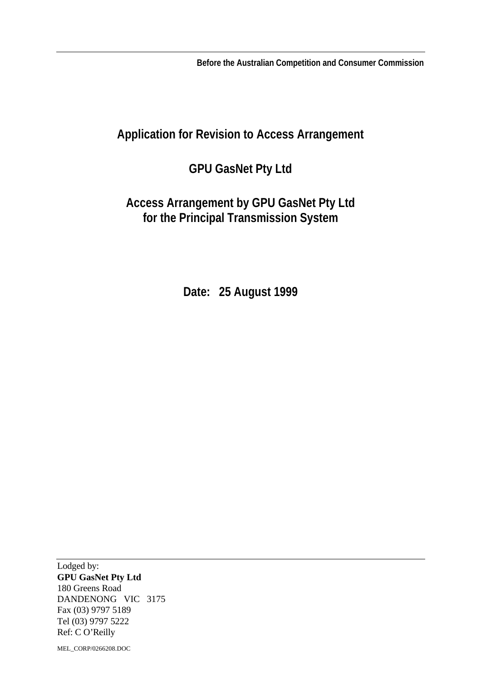**Before the Australian Competition and Consumer Commission**

# **Application for Revision to Access Arrangement**

# **GPU GasNet Pty Ltd**

# **Access Arrangement by GPU GasNet Pty Ltd for the Principal Transmission System**

**Date: 25 August 1999**

Lodged by: **GPU GasNet Pty Ltd** 180 Greens Road DANDENONG VIC 3175 Fax (03) 9797 5189 Tel (03) 9797 5222 Ref: C O'Reilly

MEL\_CORP/0266208.DOC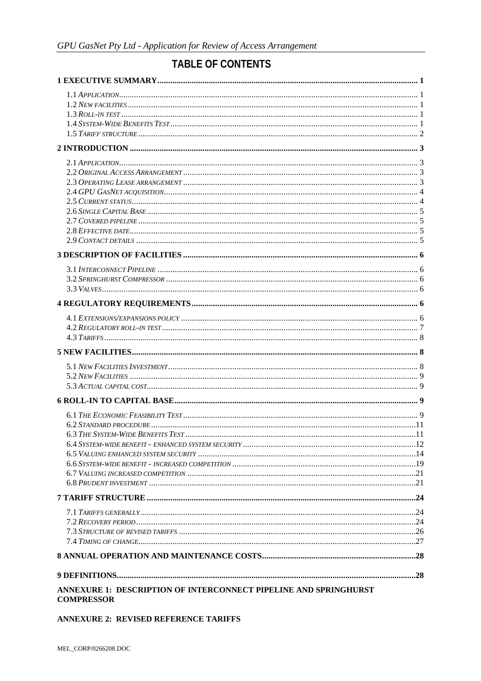# **TABLE OF CONTENTS**

| ANNEXURE 1: DESCRIPTION OF INTERCONNECT PIPELINE AND SPRINGHURST<br><b>COMPRESSOR</b> |  |
|---------------------------------------------------------------------------------------|--|

#### **ANNEXURE 2: REVISED REFERENCE TARIFFS**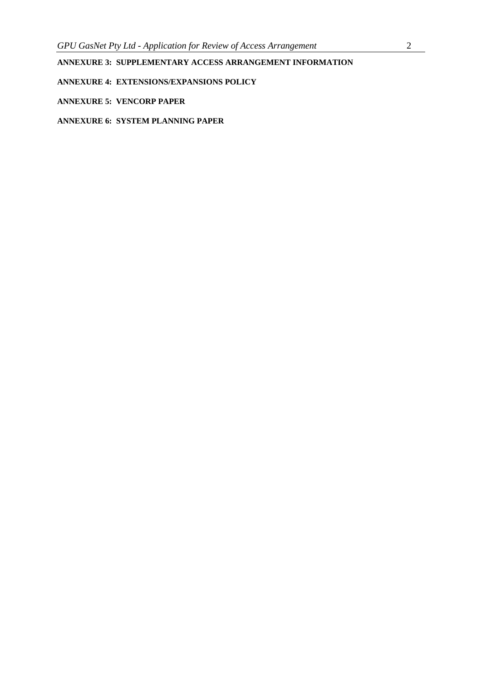**ANNEXURE 3: SUPPLEMENTARY ACCESS ARRANGEMENT INFORMATION**

**ANNEXURE 4: EXTENSIONS/EXPANSIONS POLICY**

**ANNEXURE 5: VENCORP PAPER**

**ANNEXURE 6: SYSTEM PLANNING PAPER**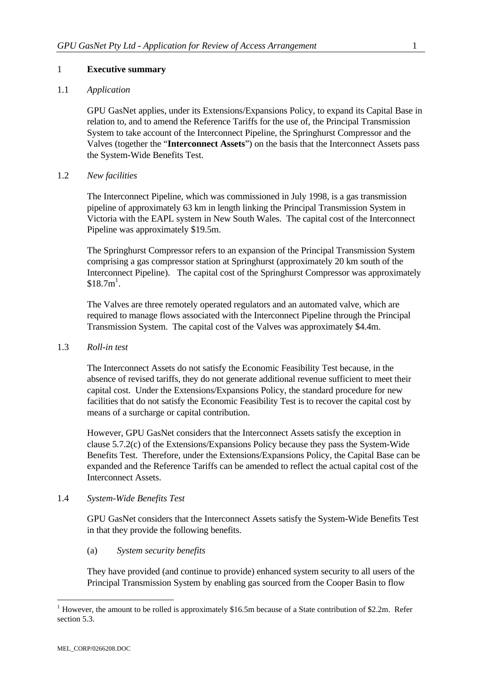## 1 **Executive summary**

#### 1.1 *Application*

GPU GasNet applies, under its Extensions/Expansions Policy, to expand its Capital Base in relation to, and to amend the Reference Tariffs for the use of, the Principal Transmission System to take account of the Interconnect Pipeline, the Springhurst Compressor and the Valves (together the "**Interconnect Assets**") on the basis that the Interconnect Assets pass the System-Wide Benefits Test.

#### 1.2 *New facilities*

The Interconnect Pipeline, which was commissioned in July 1998, is a gas transmission pipeline of approximately 63 km in length linking the Principal Transmission System in Victoria with the EAPL system in New South Wales. The capital cost of the Interconnect Pipeline was approximately \$19.5m.

The Springhurst Compressor refers to an expansion of the Principal Transmission System comprising a gas compressor station at Springhurst (approximately 20 km south of the Interconnect Pipeline). The capital cost of the Springhurst Compressor was approximately  $$18.7m<sup>1</sup>$ .

The Valves are three remotely operated regulators and an automated valve, which are required to manage flows associated with the Interconnect Pipeline through the Principal Transmission System. The capital cost of the Valves was approximately \$4.4m.

#### 1.3 *Roll-in test*

The Interconnect Assets do not satisfy the Economic Feasibility Test because, in the absence of revised tariffs, they do not generate additional revenue sufficient to meet their capital cost. Under the Extensions/Expansions Policy, the standard procedure for new facilities that do not satisfy the Economic Feasibility Test is to recover the capital cost by means of a surcharge or capital contribution.

However, GPU GasNet considers that the Interconnect Assets satisfy the exception in clause 5.7.2(c) of the Extensions/Expansions Policy because they pass the System-Wide Benefits Test. Therefore, under the Extensions/Expansions Policy, the Capital Base can be expanded and the Reference Tariffs can be amended to reflect the actual capital cost of the Interconnect Assets.

#### 1.4 *System-Wide Benefits Test*

GPU GasNet considers that the Interconnect Assets satisfy the System-Wide Benefits Test in that they provide the following benefits.

## (a) *System security benefits*

They have provided (and continue to provide) enhanced system security to all users of the Principal Transmission System by enabling gas sourced from the Cooper Basin to flow

<sup>&</sup>lt;sup>1</sup> However, the amount to be rolled is approximately \$16.5m because of a State contribution of \$2.2m. Refer section 5.3.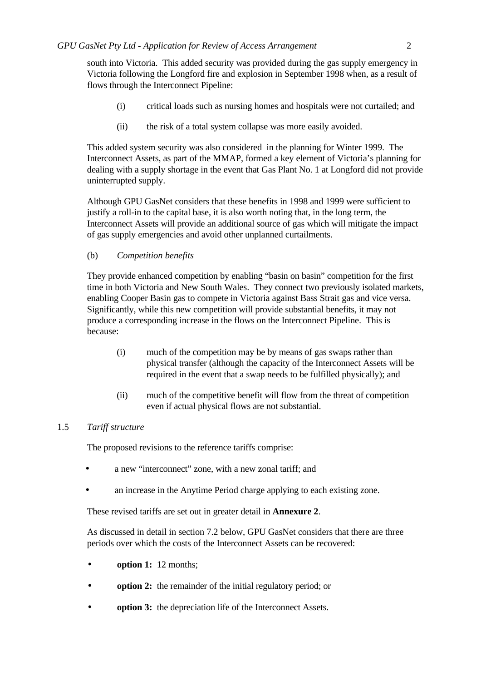south into Victoria. This added security was provided during the gas supply emergency in Victoria following the Longford fire and explosion in September 1998 when, as a result of flows through the Interconnect Pipeline:

- (i) critical loads such as nursing homes and hospitals were not curtailed; and
- (ii) the risk of a total system collapse was more easily avoided.

This added system security was also considered in the planning for Winter 1999. The Interconnect Assets, as part of the MMAP, formed a key element of Victoria's planning for dealing with a supply shortage in the event that Gas Plant No. 1 at Longford did not provide uninterrupted supply.

Although GPU GasNet considers that these benefits in 1998 and 1999 were sufficient to justify a roll-in to the capital base, it is also worth noting that, in the long term, the Interconnect Assets will provide an additional source of gas which will mitigate the impact of gas supply emergencies and avoid other unplanned curtailments.

# (b) *Competition benefits*

They provide enhanced competition by enabling "basin on basin" competition for the first time in both Victoria and New South Wales. They connect two previously isolated markets, enabling Cooper Basin gas to compete in Victoria against Bass Strait gas and vice versa. Significantly, while this new competition will provide substantial benefits, it may not produce a corresponding increase in the flows on the Interconnect Pipeline. This is because:

- (i) much of the competition may be by means of gas swaps rather than physical transfer (although the capacity of the Interconnect Assets will be required in the event that a swap needs to be fulfilled physically); and
- (ii) much of the competitive benefit will flow from the threat of competition even if actual physical flows are not substantial.

## 1.5 *Tariff structure*

The proposed revisions to the reference tariffs comprise:

- a new "interconnect" zone, with a new zonal tariff; and
- an increase in the Anytime Period charge applying to each existing zone.

These revised tariffs are set out in greater detail in **Annexure 2**.

As discussed in detail in section 7.2 below, GPU GasNet considers that there are three periods over which the costs of the Interconnect Assets can be recovered:

- **option 1:** 12 months;
- **option 2:** the remainder of the initial regulatory period; or
- **option 3:** the depreciation life of the Interconnect Assets.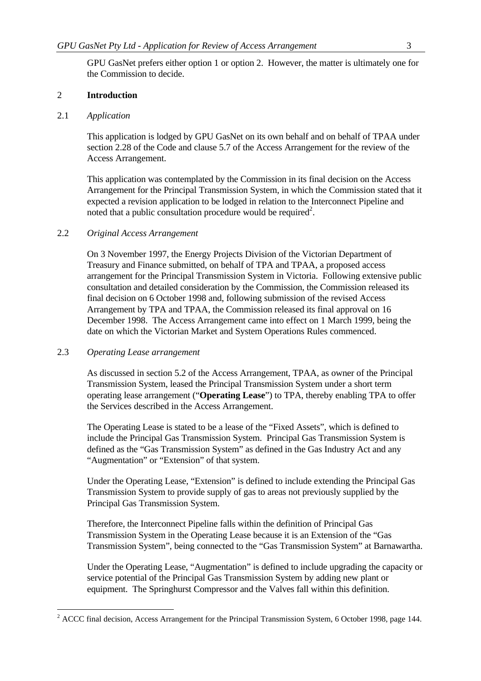GPU GasNet prefers either option 1 or option 2. However, the matter is ultimately one for the Commission to decide.

## 2 **Introduction**

#### 2.1 *Application*

This application is lodged by GPU GasNet on its own behalf and on behalf of TPAA under section 2.28 of the Code and clause 5.7 of the Access Arrangement for the review of the Access Arrangement.

This application was contemplated by the Commission in its final decision on the Access Arrangement for the Principal Transmission System, in which the Commission stated that it expected a revision application to be lodged in relation to the Interconnect Pipeline and noted that a public consultation procedure would be required<sup>2</sup>.

## 2.2 *Original Access Arrangement*

On 3 November 1997, the Energy Projects Division of the Victorian Department of Treasury and Finance submitted, on behalf of TPA and TPAA, a proposed access arrangement for the Principal Transmission System in Victoria. Following extensive public consultation and detailed consideration by the Commission, the Commission released its final decision on 6 October 1998 and, following submission of the revised Access Arrangement by TPA and TPAA, the Commission released its final approval on 16 December 1998. The Access Arrangement came into effect on 1 March 1999, being the date on which the Victorian Market and System Operations Rules commenced.

#### 2.3 *Operating Lease arrangement*

As discussed in section 5.2 of the Access Arrangement, TPAA, as owner of the Principal Transmission System, leased the Principal Transmission System under a short term operating lease arrangement ("**Operating Lease**") to TPA, thereby enabling TPA to offer the Services described in the Access Arrangement.

The Operating Lease is stated to be a lease of the "Fixed Assets", which is defined to include the Principal Gas Transmission System. Principal Gas Transmission System is defined as the "Gas Transmission System" as defined in the Gas Industry Act and any "Augmentation" or "Extension" of that system.

Under the Operating Lease, "Extension" is defined to include extending the Principal Gas Transmission System to provide supply of gas to areas not previously supplied by the Principal Gas Transmission System.

Therefore, the Interconnect Pipeline falls within the definition of Principal Gas Transmission System in the Operating Lease because it is an Extension of the "Gas Transmission System", being connected to the "Gas Transmission System" at Barnawartha.

Under the Operating Lease, "Augmentation" is defined to include upgrading the capacity or service potential of the Principal Gas Transmission System by adding new plant or equipment. The Springhurst Compressor and the Valves fall within this definition.

<sup>&</sup>lt;sup>2</sup> ACCC final decision, Access Arrangement for the Principal Transmission System, 6 October 1998, page 144.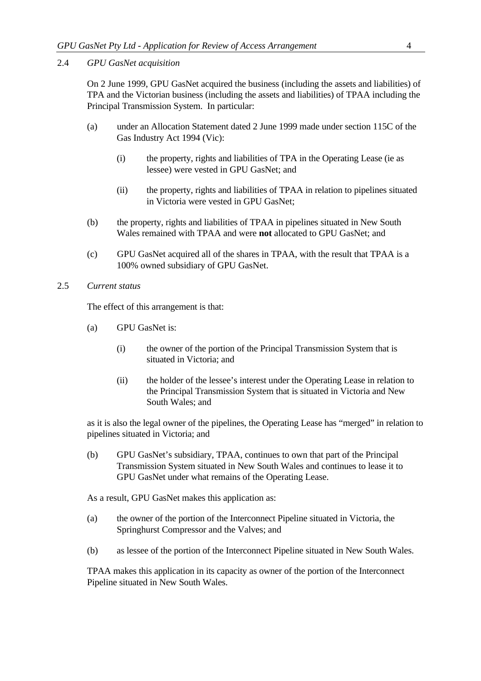2.4 *GPU GasNet acquisition*

On 2 June 1999, GPU GasNet acquired the business (including the assets and liabilities) of TPA and the Victorian business (including the assets and liabilities) of TPAA including the Principal Transmission System. In particular:

- (a) under an Allocation Statement dated 2 June 1999 made under section 115C of the Gas Industry Act 1994 (Vic):
	- (i) the property, rights and liabilities of TPA in the Operating Lease (ie as lessee) were vested in GPU GasNet; and
	- (ii) the property, rights and liabilities of TPAA in relation to pipelines situated in Victoria were vested in GPU GasNet;
- (b) the property, rights and liabilities of TPAA in pipelines situated in New South Wales remained with TPAA and were **not** allocated to GPU GasNet; and
- (c) GPU GasNet acquired all of the shares in TPAA, with the result that TPAA is a 100% owned subsidiary of GPU GasNet.
- 2.5 *Current status*

The effect of this arrangement is that:

- (a) GPU GasNet is:
	- (i) the owner of the portion of the Principal Transmission System that is situated in Victoria; and
	- (ii) the holder of the lessee's interest under the Operating Lease in relation to the Principal Transmission System that is situated in Victoria and New South Wales; and

as it is also the legal owner of the pipelines, the Operating Lease has "merged" in relation to pipelines situated in Victoria; and

(b) GPU GasNet's subsidiary, TPAA, continues to own that part of the Principal Transmission System situated in New South Wales and continues to lease it to GPU GasNet under what remains of the Operating Lease.

As a result, GPU GasNet makes this application as:

- (a) the owner of the portion of the Interconnect Pipeline situated in Victoria, the Springhurst Compressor and the Valves; and
- (b) as lessee of the portion of the Interconnect Pipeline situated in New South Wales.

TPAA makes this application in its capacity as owner of the portion of the Interconnect Pipeline situated in New South Wales.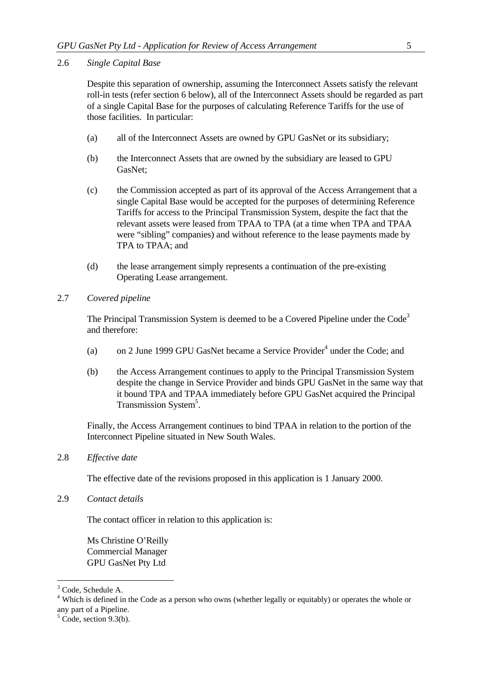2.6 *Single Capital Base*

Despite this separation of ownership, assuming the Interconnect Assets satisfy the relevant roll-in tests (refer section 6 below), all of the Interconnect Assets should be regarded as part of a single Capital Base for the purposes of calculating Reference Tariffs for the use of those facilities. In particular:

- (a) all of the Interconnect Assets are owned by GPU GasNet or its subsidiary;
- (b) the Interconnect Assets that are owned by the subsidiary are leased to GPU GasNet;
- (c) the Commission accepted as part of its approval of the Access Arrangement that a single Capital Base would be accepted for the purposes of determining Reference Tariffs for access to the Principal Transmission System, despite the fact that the relevant assets were leased from TPAA to TPA (at a time when TPA and TPAA were "sibling" companies) and without reference to the lease payments made by TPA to TPAA; and
- (d) the lease arrangement simply represents a continuation of the pre-existing Operating Lease arrangement.

## 2.7 *Covered pipeline*

The Principal Transmission System is deemed to be a Covered Pipeline under the Code<sup>3</sup> and therefore:

- (a) on 2 June 1999 GPU GasNet became a Service Provider<sup>4</sup> under the Code; and
- (b) the Access Arrangement continues to apply to the Principal Transmission System despite the change in Service Provider and binds GPU GasNet in the same way that it bound TPA and TPAA immediately before GPU GasNet acquired the Principal Transmission System<sup>5</sup>.

Finally, the Access Arrangement continues to bind TPAA in relation to the portion of the Interconnect Pipeline situated in New South Wales.

2.8 *Effective date*

The effective date of the revisions proposed in this application is 1 January 2000.

2.9 *Contact details*

The contact officer in relation to this application is:

Ms Christine O'Reilly Commercial Manager GPU GasNet Pty Ltd

<sup>&</sup>lt;sup>3</sup> Code, Schedule A.

<sup>&</sup>lt;sup>4</sup> Which is defined in the Code as a person who owns (whether legally or equitably) or operates the whole or any part of a Pipeline.

 $5 \text{ Code, section } 9.3(b)$ .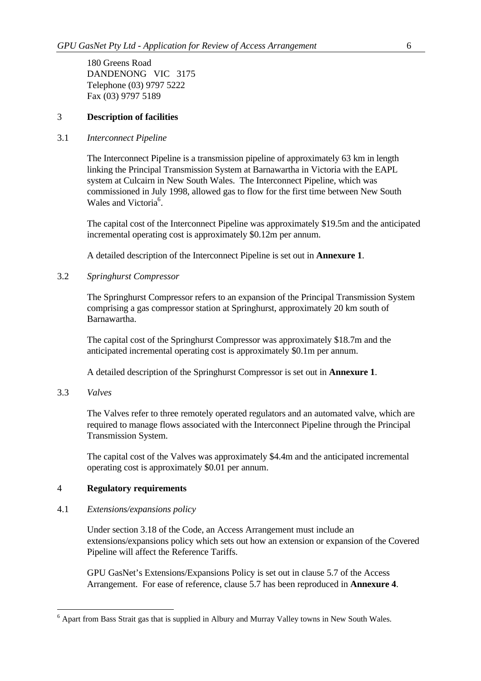180 Greens Road DANDENONG VIC 3175 Telephone (03) 9797 5222 Fax (03) 9797 5189

## 3 **Description of facilities**

#### 3.1 *Interconnect Pipeline*

The Interconnect Pipeline is a transmission pipeline of approximately 63 km in length linking the Principal Transmission System at Barnawartha in Victoria with the EAPL system at Culcairn in New South Wales. The Interconnect Pipeline, which was commissioned in July 1998, allowed gas to flow for the first time between New South Wales and Victoria<sup>6</sup>.

The capital cost of the Interconnect Pipeline was approximately \$19.5m and the anticipated incremental operating cost is approximately \$0.12m per annum.

A detailed description of the Interconnect Pipeline is set out in **Annexure 1**.

#### 3.2 *Springhurst Compressor*

The Springhurst Compressor refers to an expansion of the Principal Transmission System comprising a gas compressor station at Springhurst, approximately 20 km south of Barnawartha.

The capital cost of the Springhurst Compressor was approximately \$18.7m and the anticipated incremental operating cost is approximately \$0.1m per annum.

A detailed description of the Springhurst Compressor is set out in **Annexure 1**.

#### 3.3 *Valves*

l

The Valves refer to three remotely operated regulators and an automated valve, which are required to manage flows associated with the Interconnect Pipeline through the Principal Transmission System.

The capital cost of the Valves was approximately \$4.4m and the anticipated incremental operating cost is approximately \$0.01 per annum.

## 4 **Regulatory requirements**

#### 4.1 *Extensions/expansions policy*

Under section 3.18 of the Code, an Access Arrangement must include an extensions/expansions policy which sets out how an extension or expansion of the Covered Pipeline will affect the Reference Tariffs.

GPU GasNet's Extensions/Expansions Policy is set out in clause 5.7 of the Access Arrangement. For ease of reference, clause 5.7 has been reproduced in **Annexure 4**.

<sup>&</sup>lt;sup>6</sup> Apart from Bass Strait gas that is supplied in Albury and Murray Valley towns in New South Wales.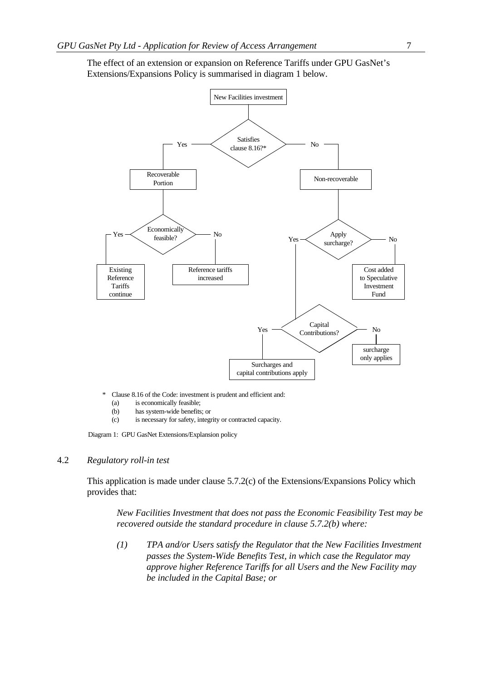

The effect of an extension or expansion on Reference Tariffs under GPU GasNet's Extensions/Expansions Policy is summarised in diagram 1 below.

Clause 8.16 of the Code: investment is prudent and efficient and:

- (a) is economically feasible;<br>(b) has system-wide benefits
- has system-wide benefits; or
- (c) is necessary for safety, integrity or contracted capacity.

Diagram 1: GPU GasNet Extensions/Explansion policy

#### 4.2 *Regulatory roll-in test*

This application is made under clause 5.7.2(c) of the Extensions/Expansions Policy which provides that:

*New Facilities Investment that does not pass the Economic Feasibility Test may be recovered outside the standard procedure in clause 5.7.2(b) where:*

*(1) TPA and/or Users satisfy the Regulator that the New Facilities Investment passes the System-Wide Benefits Test, in which case the Regulator may approve higher Reference Tariffs for all Users and the New Facility may be included in the Capital Base; or*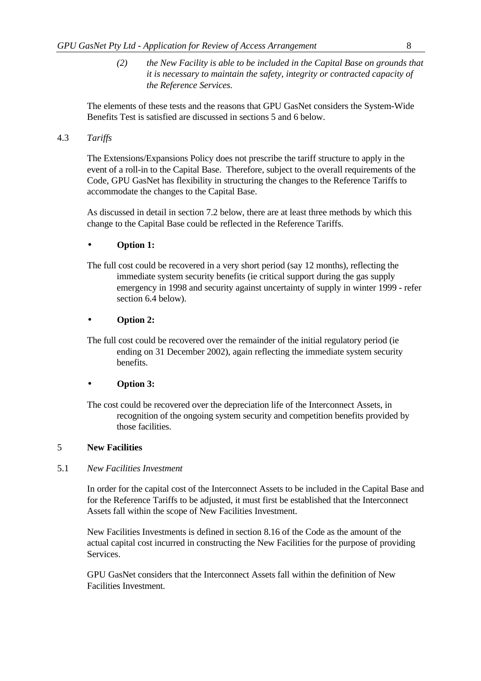*(2) the New Facility is able to be included in the Capital Base on grounds that it is necessary to maintain the safety, integrity or contracted capacity of the Reference Services.*

The elements of these tests and the reasons that GPU GasNet considers the System-Wide Benefits Test is satisfied are discussed in sections 5 and 6 below.

# 4.3 *Tariffs*

The Extensions/Expansions Policy does not prescribe the tariff structure to apply in the event of a roll-in to the Capital Base. Therefore, subject to the overall requirements of the Code, GPU GasNet has flexibility in structuring the changes to the Reference Tariffs to accommodate the changes to the Capital Base.

As discussed in detail in section 7.2 below, there are at least three methods by which this change to the Capital Base could be reflected in the Reference Tariffs.

# • **Option 1:**

The full cost could be recovered in a very short period (say 12 months), reflecting the immediate system security benefits (ie critical support during the gas supply emergency in 1998 and security against uncertainty of supply in winter 1999 - refer section 6.4 below).

# • **Option 2:**

The full cost could be recovered over the remainder of the initial regulatory period (ie ending on 31 December 2002), again reflecting the immediate system security benefits.

## • **Option 3:**

The cost could be recovered over the depreciation life of the Interconnect Assets, in recognition of the ongoing system security and competition benefits provided by those facilities.

## 5 **New Facilities**

## 5.1 *New Facilities Investment*

In order for the capital cost of the Interconnect Assets to be included in the Capital Base and for the Reference Tariffs to be adjusted, it must first be established that the Interconnect Assets fall within the scope of New Facilities Investment.

New Facilities Investments is defined in section 8.16 of the Code as the amount of the actual capital cost incurred in constructing the New Facilities for the purpose of providing **Services** 

GPU GasNet considers that the Interconnect Assets fall within the definition of New Facilities Investment.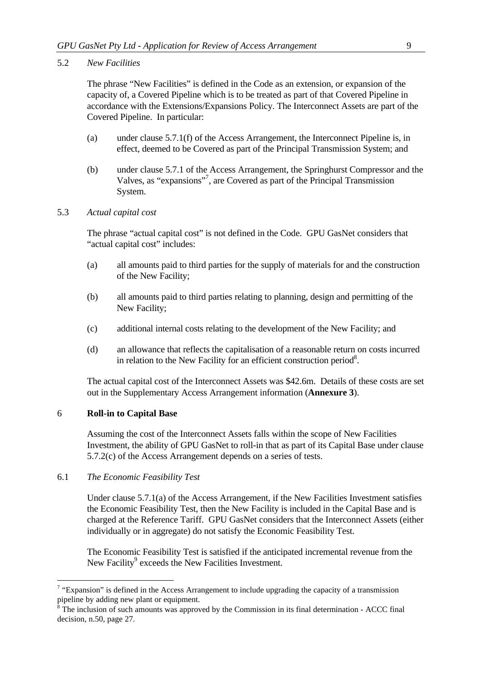#### 5.2 *New Facilities*

The phrase "New Facilities" is defined in the Code as an extension, or expansion of the capacity of, a Covered Pipeline which is to be treated as part of that Covered Pipeline in accordance with the Extensions/Expansions Policy. The Interconnect Assets are part of the Covered Pipeline. In particular:

- (a) under clause 5.7.1(f) of the Access Arrangement, the Interconnect Pipeline is, in effect, deemed to be Covered as part of the Principal Transmission System; and
- (b) under clause 5.7.1 of the Access Arrangement, the Springhurst Compressor and the Valves, as "expansions"<sup>7</sup>, are Covered as part of the Principal Transmission System.

#### 5.3 *Actual capital cost*

The phrase "actual capital cost" is not defined in the Code. GPU GasNet considers that "actual capital cost" includes:

- (a) all amounts paid to third parties for the supply of materials for and the construction of the New Facility;
- (b) all amounts paid to third parties relating to planning, design and permitting of the New Facility;
- (c) additional internal costs relating to the development of the New Facility; and
- (d) an allowance that reflects the capitalisation of a reasonable return on costs incurred in relation to the New Facility for an efficient construction period $8$ .

The actual capital cost of the Interconnect Assets was \$42.6m. Details of these costs are set out in the Supplementary Access Arrangement information (**Annexure 3**).

#### 6 **Roll-in to Capital Base**

Assuming the cost of the Interconnect Assets falls within the scope of New Facilities Investment, the ability of GPU GasNet to roll-in that as part of its Capital Base under clause 5.7.2(c) of the Access Arrangement depends on a series of tests.

#### 6.1 *The Economic Feasibility Test*

l

Under clause 5.7.1(a) of the Access Arrangement, if the New Facilities Investment satisfies the Economic Feasibility Test, then the New Facility is included in the Capital Base and is charged at the Reference Tariff. GPU GasNet considers that the Interconnect Assets (either individually or in aggregate) do not satisfy the Economic Feasibility Test.

The Economic Feasibility Test is satisfied if the anticipated incremental revenue from the New Facility<sup>9</sup> exceeds the New Facilities Investment.

 $7$  "Expansion" is defined in the Access Arrangement to include upgrading the capacity of a transmission pipeline by adding new plant or equipment.

<sup>8</sup> The inclusion of such amounts was approved by the Commission in its final determination - ACCC final decision, n.50, page 27.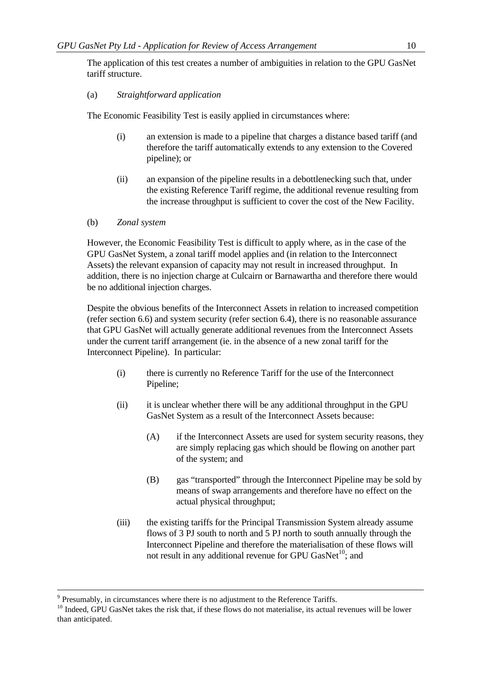The application of this test creates a number of ambiguities in relation to the GPU GasNet tariff structure.

## (a) *Straightforward application*

The Economic Feasibility Test is easily applied in circumstances where:

- (i) an extension is made to a pipeline that charges a distance based tariff (and therefore the tariff automatically extends to any extension to the Covered pipeline); or
- (ii) an expansion of the pipeline results in a debottlenecking such that, under the existing Reference Tariff regime, the additional revenue resulting from the increase throughput is sufficient to cover the cost of the New Facility.
- (b) *Zonal system*

However, the Economic Feasibility Test is difficult to apply where, as in the case of the GPU GasNet System, a zonal tariff model applies and (in relation to the Interconnect Assets) the relevant expansion of capacity may not result in increased throughput. In addition, there is no injection charge at Culcairn or Barnawartha and therefore there would be no additional injection charges.

Despite the obvious benefits of the Interconnect Assets in relation to increased competition (refer section 6.6) and system security (refer section 6.4), there is no reasonable assurance that GPU GasNet will actually generate additional revenues from the Interconnect Assets under the current tariff arrangement (ie. in the absence of a new zonal tariff for the Interconnect Pipeline). In particular:

- (i) there is currently no Reference Tariff for the use of the Interconnect Pipeline;
- (ii) it is unclear whether there will be any additional throughput in the GPU GasNet System as a result of the Interconnect Assets because:
	- (A) if the Interconnect Assets are used for system security reasons, they are simply replacing gas which should be flowing on another part of the system; and
	- (B) gas "transported" through the Interconnect Pipeline may be sold by means of swap arrangements and therefore have no effect on the actual physical throughput;
- (iii) the existing tariffs for the Principal Transmission System already assume flows of 3 PJ south to north and 5 PJ north to south annually through the Interconnect Pipeline and therefore the materialisation of these flows will not result in any additional revenue for GPU GasNet<sup>10</sup>; and

-

 $9$  Presumably, in circumstances where there is no adjustment to the Reference Tariffs.

<sup>&</sup>lt;sup>10</sup> Indeed, GPU GasNet takes the risk that, if these flows do not materialise, its actual revenues will be lower than anticipated.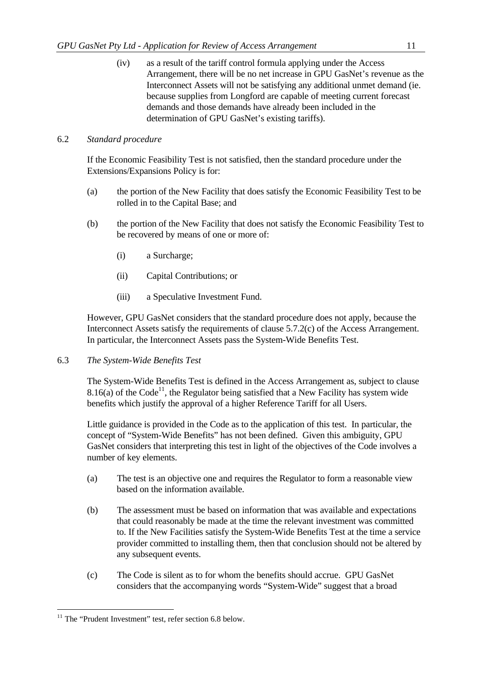(iv) as a result of the tariff control formula applying under the Access Arrangement, there will be no net increase in GPU GasNet's revenue as the Interconnect Assets will not be satisfying any additional unmet demand (ie. because supplies from Longford are capable of meeting current forecast demands and those demands have already been included in the determination of GPU GasNet's existing tariffs).

## 6.2 *Standard procedure*

If the Economic Feasibility Test is not satisfied, then the standard procedure under the Extensions/Expansions Policy is for:

- (a) the portion of the New Facility that does satisfy the Economic Feasibility Test to be rolled in to the Capital Base; and
- (b) the portion of the New Facility that does not satisfy the Economic Feasibility Test to be recovered by means of one or more of:
	- (i) a Surcharge;
	- (ii) Capital Contributions; or
	- (iii) a Speculative Investment Fund.

However, GPU GasNet considers that the standard procedure does not apply, because the Interconnect Assets satisfy the requirements of clause 5.7.2(c) of the Access Arrangement. In particular, the Interconnect Assets pass the System-Wide Benefits Test.

## 6.3 *The System-Wide Benefits Test*

The System-Wide Benefits Test is defined in the Access Arrangement as, subject to clause 8.16(a) of the Code<sup>11</sup>, the Regulator being satisfied that a New Facility has system wide benefits which justify the approval of a higher Reference Tariff for all Users.

Little guidance is provided in the Code as to the application of this test. In particular, the concept of "System-Wide Benefits" has not been defined. Given this ambiguity, GPU GasNet considers that interpreting this test in light of the objectives of the Code involves a number of key elements.

- (a) The test is an objective one and requires the Regulator to form a reasonable view based on the information available.
- (b) The assessment must be based on information that was available and expectations that could reasonably be made at the time the relevant investment was committed to. If the New Facilities satisfy the System-Wide Benefits Test at the time a service provider committed to installing them, then that conclusion should not be altered by any subsequent events.
- (c) The Code is silent as to for whom the benefits should accrue. GPU GasNet considers that the accompanying words "System-Wide" suggest that a broad

 $11$  The "Prudent Investment" test, refer section 6.8 below.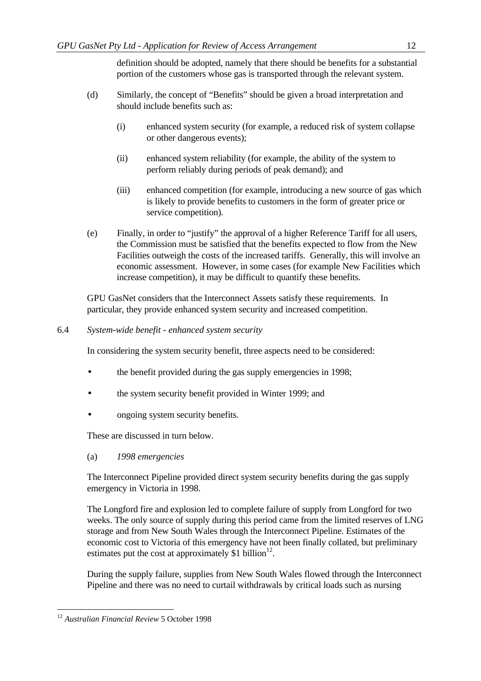definition should be adopted, namely that there should be benefits for a substantial portion of the customers whose gas is transported through the relevant system.

- (d) Similarly, the concept of "Benefits" should be given a broad interpretation and should include benefits such as:
	- (i) enhanced system security (for example, a reduced risk of system collapse or other dangerous events);
	- (ii) enhanced system reliability (for example, the ability of the system to perform reliably during periods of peak demand); and
	- (iii) enhanced competition (for example, introducing a new source of gas which is likely to provide benefits to customers in the form of greater price or service competition).
- (e) Finally, in order to "justify" the approval of a higher Reference Tariff for all users, the Commission must be satisfied that the benefits expected to flow from the New Facilities outweigh the costs of the increased tariffs. Generally, this will involve an economic assessment. However, in some cases (for example New Facilities which increase competition), it may be difficult to quantify these benefits.

GPU GasNet considers that the Interconnect Assets satisfy these requirements. In particular, they provide enhanced system security and increased competition.

6.4 *System-wide benefit - enhanced system security*

In considering the system security benefit, three aspects need to be considered:

- the benefit provided during the gas supply emergencies in 1998;
- the system security benefit provided in Winter 1999; and
- ongoing system security benefits.

These are discussed in turn below.

(a) *1998 emergencies*

The Interconnect Pipeline provided direct system security benefits during the gas supply emergency in Victoria in 1998.

The Longford fire and explosion led to complete failure of supply from Longford for two weeks. The only source of supply during this period came from the limited reserves of LNG storage and from New South Wales through the Interconnect Pipeline. Estimates of the economic cost to Victoria of this emergency have not been finally collated, but preliminary estimates put the cost at approximately \$1 billion $12$ .

During the supply failure, supplies from New South Wales flowed through the Interconnect Pipeline and there was no need to curtail withdrawals by critical loads such as nursing

<sup>12</sup> *Australian Financial Review* 5 October 1998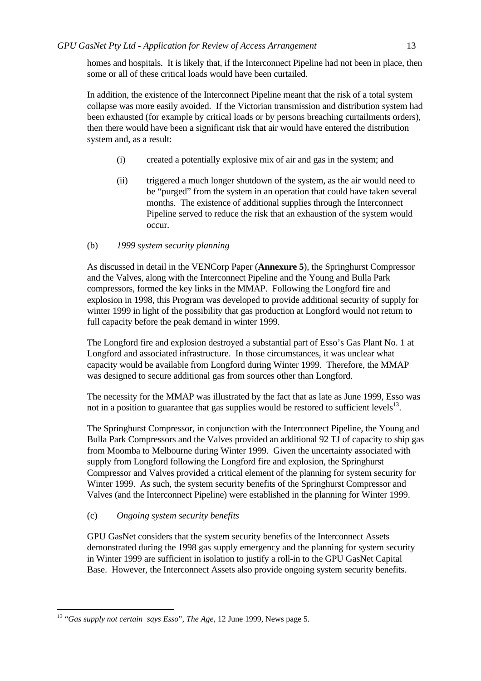homes and hospitals. It is likely that, if the Interconnect Pipeline had not been in place, then some or all of these critical loads would have been curtailed.

In addition, the existence of the Interconnect Pipeline meant that the risk of a total system collapse was more easily avoided. If the Victorian transmission and distribution system had been exhausted (for example by critical loads or by persons breaching curtailments orders), then there would have been a significant risk that air would have entered the distribution system and, as a result:

- (i) created a potentially explosive mix of air and gas in the system; and
- (ii) triggered a much longer shutdown of the system, as the air would need to be "purged" from the system in an operation that could have taken several months. The existence of additional supplies through the Interconnect Pipeline served to reduce the risk that an exhaustion of the system would occur.

## (b) *1999 system security planning*

As discussed in detail in the VENCorp Paper (**Annexure 5**), the Springhurst Compressor and the Valves, along with the Interconnect Pipeline and the Young and Bulla Park compressors, formed the key links in the MMAP. Following the Longford fire and explosion in 1998, this Program was developed to provide additional security of supply for winter 1999 in light of the possibility that gas production at Longford would not return to full capacity before the peak demand in winter 1999.

The Longford fire and explosion destroyed a substantial part of Esso's Gas Plant No. 1 at Longford and associated infrastructure. In those circumstances, it was unclear what capacity would be available from Longford during Winter 1999. Therefore, the MMAP was designed to secure additional gas from sources other than Longford.

The necessity for the MMAP was illustrated by the fact that as late as June 1999, Esso was not in a position to guarantee that gas supplies would be restored to sufficient levels $^{13}$ .

The Springhurst Compressor, in conjunction with the Interconnect Pipeline, the Young and Bulla Park Compressors and the Valves provided an additional 92 TJ of capacity to ship gas from Moomba to Melbourne during Winter 1999. Given the uncertainty associated with supply from Longford following the Longford fire and explosion, the Springhurst Compressor and Valves provided a critical element of the planning for system security for Winter 1999. As such, the system security benefits of the Springhurst Compressor and Valves (and the Interconnect Pipeline) were established in the planning for Winter 1999.

## (c) *Ongoing system security benefits*

l

GPU GasNet considers that the system security benefits of the Interconnect Assets demonstrated during the 1998 gas supply emergency and the planning for system security in Winter 1999 are sufficient in isolation to justify a roll-in to the GPU GasNet Capital Base. However, the Interconnect Assets also provide ongoing system security benefits.

<sup>13</sup> "*Gas supply not certain says Esso*", *The Age*, 12 June 1999, News page 5.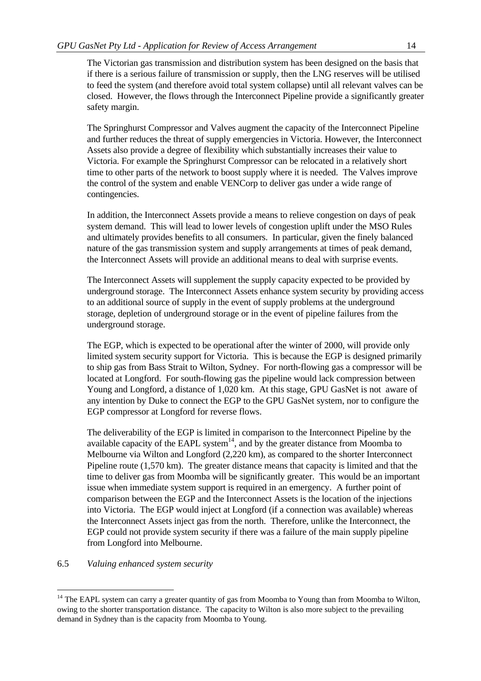The Victorian gas transmission and distribution system has been designed on the basis that if there is a serious failure of transmission or supply, then the LNG reserves will be utilised to feed the system (and therefore avoid total system collapse) until all relevant valves can be closed. However, the flows through the Interconnect Pipeline provide a significantly greater safety margin.

The Springhurst Compressor and Valves augment the capacity of the Interconnect Pipeline and further reduces the threat of supply emergencies in Victoria. However, the Interconnect Assets also provide a degree of flexibility which substantially increases their value to Victoria. For example the Springhurst Compressor can be relocated in a relatively short time to other parts of the network to boost supply where it is needed. The Valves improve the control of the system and enable VENCorp to deliver gas under a wide range of contingencies.

In addition, the Interconnect Assets provide a means to relieve congestion on days of peak system demand. This will lead to lower levels of congestion uplift under the MSO Rules and ultimately provides benefits to all consumers. In particular, given the finely balanced nature of the gas transmission system and supply arrangements at times of peak demand, the Interconnect Assets will provide an additional means to deal with surprise events.

The Interconnect Assets will supplement the supply capacity expected to be provided by underground storage. The Interconnect Assets enhance system security by providing access to an additional source of supply in the event of supply problems at the underground storage, depletion of underground storage or in the event of pipeline failures from the underground storage.

The EGP, which is expected to be operational after the winter of 2000, will provide only limited system security support for Victoria. This is because the EGP is designed primarily to ship gas from Bass Strait to Wilton, Sydney. For north-flowing gas a compressor will be located at Longford. For south-flowing gas the pipeline would lack compression between Young and Longford, a distance of 1,020 km. At this stage, GPU GasNet is not aware of any intention by Duke to connect the EGP to the GPU GasNet system, nor to configure the EGP compressor at Longford for reverse flows.

The deliverability of the EGP is limited in comparison to the Interconnect Pipeline by the available capacity of the EAPL system<sup>14</sup>, and by the greater distance from Moomba to Melbourne via Wilton and Longford (2,220 km), as compared to the shorter Interconnect Pipeline route (1,570 km). The greater distance means that capacity is limited and that the time to deliver gas from Moomba will be significantly greater. This would be an important issue when immediate system support is required in an emergency. A further point of comparison between the EGP and the Interconnect Assets is the location of the injections into Victoria. The EGP would inject at Longford (if a connection was available) whereas the Interconnect Assets inject gas from the north. Therefore, unlike the Interconnect, the EGP could not provide system security if there was a failure of the main supply pipeline from Longford into Melbourne.

#### 6.5 *Valuing enhanced system security*

<sup>&</sup>lt;sup>14</sup> The EAPL system can carry a greater quantity of gas from Moomba to Young than from Moomba to Wilton, owing to the shorter transportation distance. The capacity to Wilton is also more subject to the prevailing demand in Sydney than is the capacity from Moomba to Young.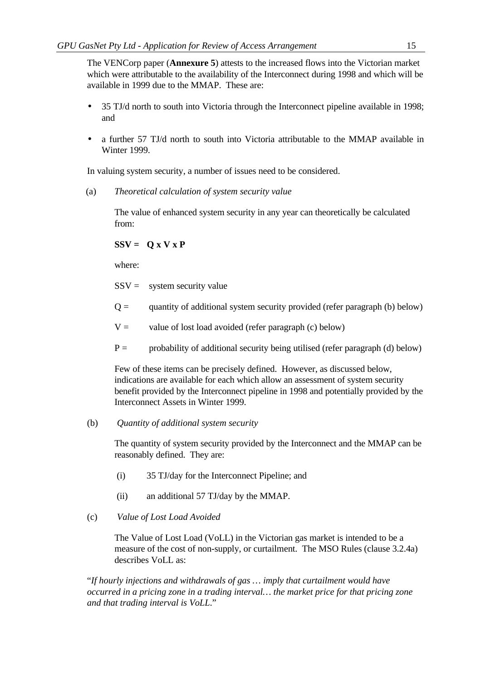The VENCorp paper (**Annexure 5**) attests to the increased flows into the Victorian market which were attributable to the availability of the Interconnect during 1998 and which will be available in 1999 due to the MMAP. These are:

- 35 TJ/d north to south into Victoria through the Interconnect pipeline available in 1998; and
- a further 57 TJ/d north to south into Victoria attributable to the MMAP available in Winter 1999.

In valuing system security, a number of issues need to be considered.

(a) *Theoretical calculation of system security value*

The value of enhanced system security in any year can theoretically be calculated from:

# $SSV = O X V X P$

where:

 $SSV =$  system security value

- $Q =$  quantity of additional system security provided (refer paragraph (b) below)
- $V =$  value of lost load avoided (refer paragraph (c) below)
- $P =$  probability of additional security being utilised (refer paragraph (d) below)

Few of these items can be precisely defined. However, as discussed below, indications are available for each which allow an assessment of system security benefit provided by the Interconnect pipeline in 1998 and potentially provided by the Interconnect Assets in Winter 1999.

## (b) *Quantity of additional system security*

The quantity of system security provided by the Interconnect and the MMAP can be reasonably defined. They are:

- (i) 35 TJ/day for the Interconnect Pipeline; and
- (ii) an additional 57 TJ/day by the MMAP.

# (c) *Value of Lost Load Avoided*

The Value of Lost Load (VoLL) in the Victorian gas market is intended to be a measure of the cost of non-supply, or curtailment. The MSO Rules (clause 3.2.4a) describes VoLL as:

"*If hourly injections and withdrawals of gas … imply that curtailment would have occurred in a pricing zone in a trading interval… the market price for that pricing zone and that trading interval is VoLL*."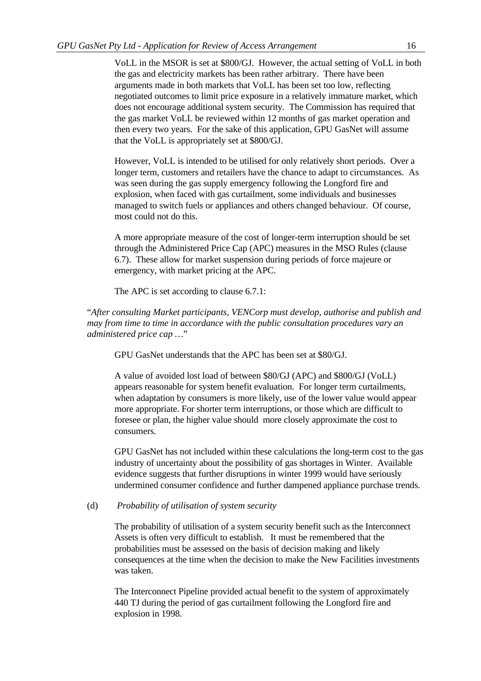VoLL in the MSOR is set at \$800/GJ. However, the actual setting of VoLL in both the gas and electricity markets has been rather arbitrary. There have been arguments made in both markets that VoLL has been set too low, reflecting negotiated outcomes to limit price exposure in a relatively immature market, which does not encourage additional system security. The Commission has required that the gas market VoLL be reviewed within 12 months of gas market operation and then every two years. For the sake of this application, GPU GasNet will assume that the VoLL is appropriately set at \$800/GJ.

However, VoLL is intended to be utilised for only relatively short periods. Over a longer term, customers and retailers have the chance to adapt to circumstances. As was seen during the gas supply emergency following the Longford fire and explosion, when faced with gas curtailment, some individuals and businesses managed to switch fuels or appliances and others changed behaviour. Of course, most could not do this.

A more appropriate measure of the cost of longer-term interruption should be set through the Administered Price Cap (APC) measures in the MSO Rules (clause 6.7). These allow for market suspension during periods of force majeure or emergency, with market pricing at the APC.

The APC is set according to clause 6.7.1:

"*After consulting Market participants, VENCorp must develop, authorise and publish and may from time to time in accordance with the public consultation procedures vary an administered price cap …*"

GPU GasNet understands that the APC has been set at \$80/GJ.

A value of avoided lost load of between \$80/GJ (APC) and \$800/GJ (VoLL) appears reasonable for system benefit evaluation. For longer term curtailments, when adaptation by consumers is more likely, use of the lower value would appear more appropriate. For shorter term interruptions, or those which are difficult to foresee or plan, the higher value should more closely approximate the cost to consumers.

GPU GasNet has not included within these calculations the long-term cost to the gas industry of uncertainty about the possibility of gas shortages in Winter. Available evidence suggests that further disruptions in winter 1999 would have seriously undermined consumer confidence and further dampened appliance purchase trends.

#### (d) *Probability of utilisation of system security*

The probability of utilisation of a system security benefit such as the Interconnect Assets is often very difficult to establish. It must be remembered that the probabilities must be assessed on the basis of decision making and likely consequences at the time when the decision to make the New Facilities investments was taken.

The Interconnect Pipeline provided actual benefit to the system of approximately 440 TJ during the period of gas curtailment following the Longford fire and explosion in 1998.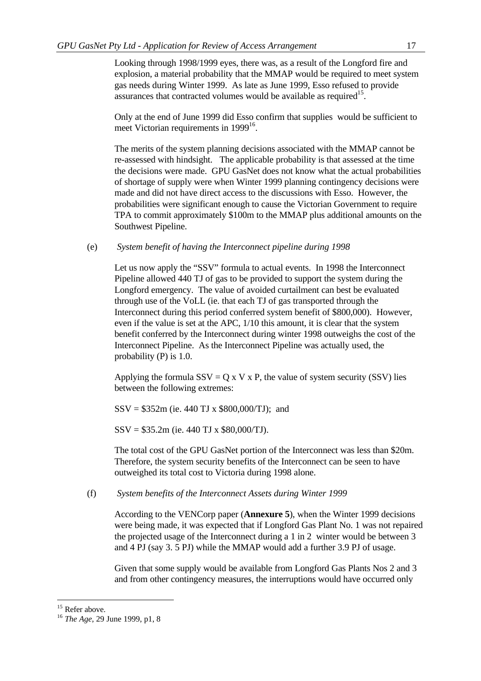Looking through 1998/1999 eyes, there was, as a result of the Longford fire and explosion, a material probability that the MMAP would be required to meet system gas needs during Winter 1999. As late as June 1999, Esso refused to provide assurances that contracted volumes would be available as required<sup>15</sup>.

Only at the end of June 1999 did Esso confirm that supplies would be sufficient to meet Victorian requirements in 1999<sup>16</sup>.

The merits of the system planning decisions associated with the MMAP cannot be re-assessed with hindsight. The applicable probability is that assessed at the time the decisions were made. GPU GasNet does not know what the actual probabilities of shortage of supply were when Winter 1999 planning contingency decisions were made and did not have direct access to the discussions with Esso. However, the probabilities were significant enough to cause the Victorian Government to require TPA to commit approximately \$100m to the MMAP plus additional amounts on the Southwest Pipeline.

(e) *System benefit of having the Interconnect pipeline during 1998*

Let us now apply the "SSV" formula to actual events. In 1998 the Interconnect Pipeline allowed 440 TJ of gas to be provided to support the system during the Longford emergency. The value of avoided curtailment can best be evaluated through use of the VoLL (ie. that each TJ of gas transported through the Interconnect during this period conferred system benefit of \$800,000). However, even if the value is set at the APC, 1/10 this amount, it is clear that the system benefit conferred by the Interconnect during winter 1998 outweighs the cost of the Interconnect Pipeline. As the Interconnect Pipeline was actually used, the probability (P) is 1.0.

Applying the formula  $SSV = Q \times V \times P$ , the value of system security (SSV) lies between the following extremes:

 $SSV = $352m$  (ie. 440 TJ x \$800,000/TJ); and

SSV = \$35.2m (ie. 440 TJ x \$80,000/TJ).

The total cost of the GPU GasNet portion of the Interconnect was less than \$20m. Therefore, the system security benefits of the Interconnect can be seen to have outweighed its total cost to Victoria during 1998 alone.

(f) *System benefits of the Interconnect Assets during Winter 1999*

According to the VENCorp paper (**Annexure 5**), when the Winter 1999 decisions were being made, it was expected that if Longford Gas Plant No. 1 was not repaired the projected usage of the Interconnect during a 1 in 2 winter would be between 3 and 4 PJ (say 3. 5 PJ) while the MMAP would add a further 3.9 PJ of usage.

Given that some supply would be available from Longford Gas Plants Nos 2 and 3 and from other contingency measures, the interruptions would have occurred only

<sup>&</sup>lt;sup>15</sup> Refer above.

<sup>16</sup> *The Age*, 29 June 1999, p1, 8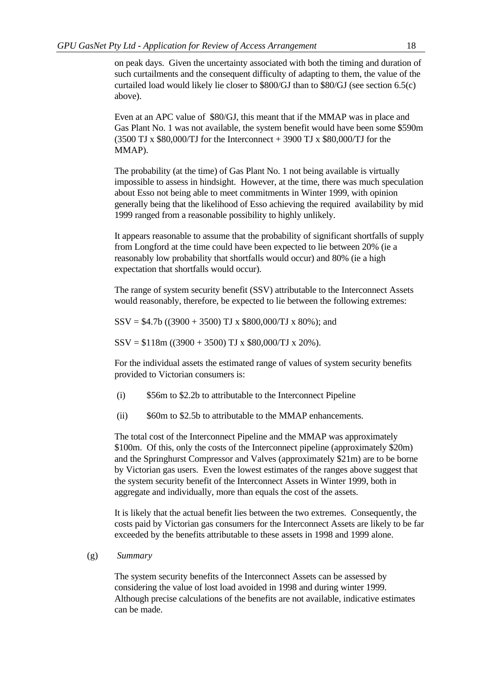on peak days. Given the uncertainty associated with both the timing and duration of such curtailments and the consequent difficulty of adapting to them, the value of the curtailed load would likely lie closer to \$800/GJ than to \$80/GJ (see section 6.5(c) above).

Even at an APC value of \$80/GJ, this meant that if the MMAP was in place and Gas Plant No. 1 was not available, the system benefit would have been some \$590m  $(3500 \text{ TJ x } $80,000/\text{TJ}$  for the Interconnect + 3900 TJ x \$80,000/TJ for the MMAP).

The probability (at the time) of Gas Plant No. 1 not being available is virtually impossible to assess in hindsight. However, at the time, there was much speculation about Esso not being able to meet commitments in Winter 1999, with opinion generally being that the likelihood of Esso achieving the required availability by mid 1999 ranged from a reasonable possibility to highly unlikely.

It appears reasonable to assume that the probability of significant shortfalls of supply from Longford at the time could have been expected to lie between 20% (ie a reasonably low probability that shortfalls would occur) and 80% (ie a high expectation that shortfalls would occur).

The range of system security benefit (SSV) attributable to the Interconnect Assets would reasonably, therefore, be expected to lie between the following extremes:

 $SSV = $4.7b ((3900 + 3500) TJ x $800,000/TJ x 80\%);$  and

 $SSV = $118m ((3900 + 3500) TJ x $80,000/TJ x 20%).$ 

For the individual assets the estimated range of values of system security benefits provided to Victorian consumers is:

- (i) \$56m to \$2.2b to attributable to the Interconnect Pipeline
- (ii) \$60m to \$2.5b to attributable to the MMAP enhancements.

The total cost of the Interconnect Pipeline and the MMAP was approximately \$100m. Of this, only the costs of the Interconnect pipeline (approximately \$20m) and the Springhurst Compressor and Valves (approximately \$21m) are to be borne by Victorian gas users. Even the lowest estimates of the ranges above suggest that the system security benefit of the Interconnect Assets in Winter 1999, both in aggregate and individually, more than equals the cost of the assets.

It is likely that the actual benefit lies between the two extremes. Consequently, the costs paid by Victorian gas consumers for the Interconnect Assets are likely to be far exceeded by the benefits attributable to these assets in 1998 and 1999 alone.

(g) *Summary*

The system security benefits of the Interconnect Assets can be assessed by considering the value of lost load avoided in 1998 and during winter 1999. Although precise calculations of the benefits are not available, indicative estimates can be made.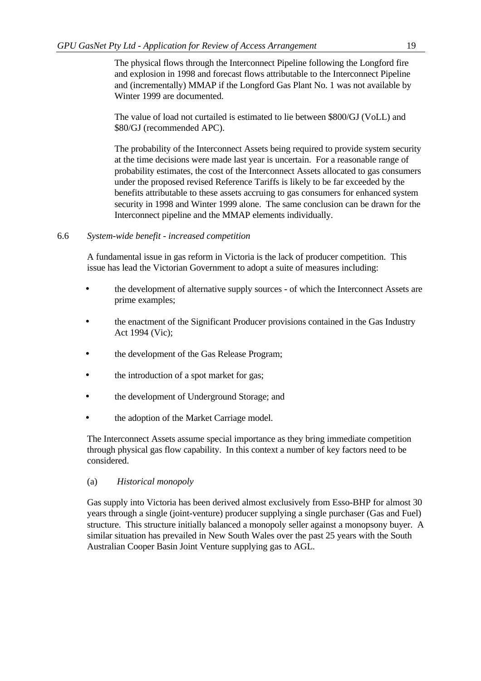The physical flows through the Interconnect Pipeline following the Longford fire and explosion in 1998 and forecast flows attributable to the Interconnect Pipeline and (incrementally) MMAP if the Longford Gas Plant No. 1 was not available by Winter 1999 are documented.

The value of load not curtailed is estimated to lie between \$800/GJ (VoLL) and \$80/GJ (recommended APC).

The probability of the Interconnect Assets being required to provide system security at the time decisions were made last year is uncertain. For a reasonable range of probability estimates, the cost of the Interconnect Assets allocated to gas consumers under the proposed revised Reference Tariffs is likely to be far exceeded by the benefits attributable to these assets accruing to gas consumers for enhanced system security in 1998 and Winter 1999 alone. The same conclusion can be drawn for the Interconnect pipeline and the MMAP elements individually.

#### 6.6 *System-wide benefit - increased competition*

A fundamental issue in gas reform in Victoria is the lack of producer competition. This issue has lead the Victorian Government to adopt a suite of measures including:

- the development of alternative supply sources of which the Interconnect Assets are prime examples;
- the enactment of the Significant Producer provisions contained in the Gas Industry Act 1994 (Vic);
- the development of the Gas Release Program;
- the introduction of a spot market for gas;
- the development of Underground Storage; and
- the adoption of the Market Carriage model.

The Interconnect Assets assume special importance as they bring immediate competition through physical gas flow capability. In this context a number of key factors need to be considered.

(a) *Historical monopoly*

Gas supply into Victoria has been derived almost exclusively from Esso-BHP for almost 30 years through a single (joint-venture) producer supplying a single purchaser (Gas and Fuel) structure. This structure initially balanced a monopoly seller against a monopsony buyer. A similar situation has prevailed in New South Wales over the past 25 years with the South Australian Cooper Basin Joint Venture supplying gas to AGL.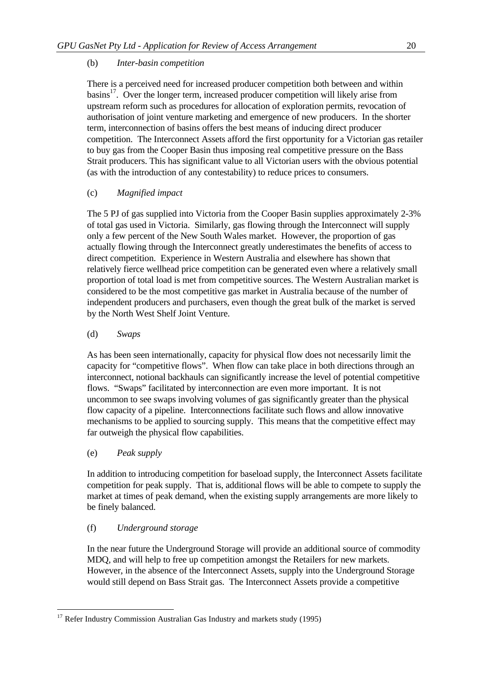# (b) *Inter-basin competition*

There is a perceived need for increased producer competition both between and within basins<sup>17</sup>. Over the longer term, increased producer competition will likely arise from upstream reform such as procedures for allocation of exploration permits, revocation of authorisation of joint venture marketing and emergence of new producers. In the shorter term, interconnection of basins offers the best means of inducing direct producer competition. The Interconnect Assets afford the first opportunity for a Victorian gas retailer to buy gas from the Cooper Basin thus imposing real competitive pressure on the Bass Strait producers. This has significant value to all Victorian users with the obvious potential (as with the introduction of any contestability) to reduce prices to consumers.

# (c) *Magnified impact*

The 5 PJ of gas supplied into Victoria from the Cooper Basin supplies approximately 2-3% of total gas used in Victoria. Similarly, gas flowing through the Interconnect will supply only a few percent of the New South Wales market. However, the proportion of gas actually flowing through the Interconnect greatly underestimates the benefits of access to direct competition. Experience in Western Australia and elsewhere has shown that relatively fierce wellhead price competition can be generated even where a relatively small proportion of total load is met from competitive sources. The Western Australian market is considered to be the most competitive gas market in Australia because of the number of independent producers and purchasers, even though the great bulk of the market is served by the North West Shelf Joint Venture.

# (d) *Swaps*

As has been seen internationally, capacity for physical flow does not necessarily limit the capacity for "competitive flows". When flow can take place in both directions through an interconnect, notional backhauls can significantly increase the level of potential competitive flows. "Swaps" facilitated by interconnection are even more important. It is not uncommon to see swaps involving volumes of gas significantly greater than the physical flow capacity of a pipeline. Interconnections facilitate such flows and allow innovative mechanisms to be applied to sourcing supply. This means that the competitive effect may far outweigh the physical flow capabilities.

# (e) *Peak supply*

l

In addition to introducing competition for baseload supply, the Interconnect Assets facilitate competition for peak supply. That is, additional flows will be able to compete to supply the market at times of peak demand, when the existing supply arrangements are more likely to be finely balanced.

# (f) *Underground storage*

In the near future the Underground Storage will provide an additional source of commodity MDQ, and will help to free up competition amongst the Retailers for new markets. However, in the absence of the Interconnect Assets, supply into the Underground Storage would still depend on Bass Strait gas. The Interconnect Assets provide a competitive

 $17$  Refer Industry Commission Australian Gas Industry and markets study (1995)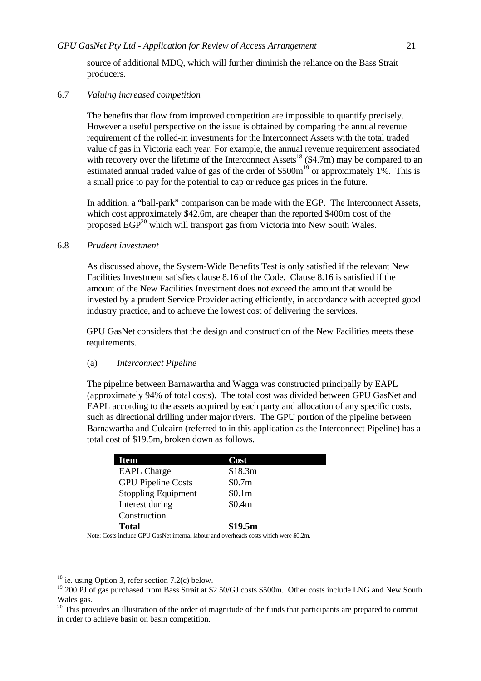source of additional MDQ, which will further diminish the reliance on the Bass Strait producers.

#### 6.7 *Valuing increased competition*

The benefits that flow from improved competition are impossible to quantify precisely. However a useful perspective on the issue is obtained by comparing the annual revenue requirement of the rolled-in investments for the Interconnect Assets with the total traded value of gas in Victoria each year. For example, the annual revenue requirement associated with recovery over the lifetime of the Interconnect Assets<sup>18</sup> (\$4.7m) may be compared to an estimated annual traded value of gas of the order of \$500m<sup>19</sup> or approximately 1%. This is a small price to pay for the potential to cap or reduce gas prices in the future.

In addition, a "ball-park" comparison can be made with the EGP. The Interconnect Assets, which cost approximately \$42.6m, are cheaper than the reported \$400m cost of the proposed  $EGP<sup>20</sup>$  which will transport gas from Victoria into New South Wales.

#### 6.8 *Prudent investment*

As discussed above, the System-Wide Benefits Test is only satisfied if the relevant New Facilities Investment satisfies clause 8.16 of the Code. Clause 8.16 is satisfied if the amount of the New Facilities Investment does not exceed the amount that would be invested by a prudent Service Provider acting efficiently, in accordance with accepted good industry practice, and to achieve the lowest cost of delivering the services.

GPU GasNet considers that the design and construction of the New Facilities meets these requirements.

#### (a) *Interconnect Pipeline*

The pipeline between Barnawartha and Wagga was constructed principally by EAPL (approximately 94% of total costs). The total cost was divided between GPU GasNet and EAPL according to the assets acquired by each party and allocation of any specific costs, such as directional drilling under major rivers. The GPU portion of the pipeline between Barnawartha and Culcairn (referred to in this application as the Interconnect Pipeline) has a total cost of \$19.5m, broken down as follows.

| <b>Item</b>                | Cost    |  |
|----------------------------|---------|--|
| <b>EAPL</b> Charge         | \$18.3m |  |
| <b>GPU Pipeline Costs</b>  | \$0.7m  |  |
| <b>Stoppling Equipment</b> | \$0.1m  |  |
| Interest during            | \$0.4m  |  |
| Construction               |         |  |
| <b>Total</b>               | \$19.5m |  |

Note: Costs include GPU GasNet internal labour and overheads costs which were \$0.2m.

<sup>&</sup>lt;sup>18</sup> ie. using Option 3, refer section  $7.2(c)$  below.

<sup>&</sup>lt;sup>19</sup> 200 PJ of gas purchased from Bass Strait at \$2.50/GJ costs \$500m. Other costs include LNG and New South Wales gas.

 $20$  This provides an illustration of the order of magnitude of the funds that participants are prepared to commit in order to achieve basin on basin competition.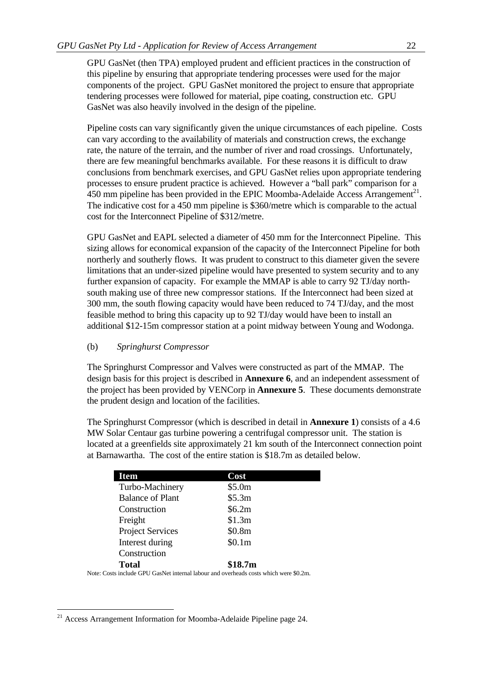GPU GasNet (then TPA) employed prudent and efficient practices in the construction of this pipeline by ensuring that appropriate tendering processes were used for the major components of the project. GPU GasNet monitored the project to ensure that appropriate tendering processes were followed for material, pipe coating, construction etc. GPU GasNet was also heavily involved in the design of the pipeline.

Pipeline costs can vary significantly given the unique circumstances of each pipeline. Costs can vary according to the availability of materials and construction crews, the exchange rate, the nature of the terrain, and the number of river and road crossings. Unfortunately, there are few meaningful benchmarks available. For these reasons it is difficult to draw conclusions from benchmark exercises, and GPU GasNet relies upon appropriate tendering processes to ensure prudent practice is achieved. However a "ball park" comparison for a  $450$  mm pipeline has been provided in the EPIC Moomba-Adelaide Access Arrangement<sup>21</sup>. The indicative cost for a 450 mm pipeline is \$360/metre which is comparable to the actual cost for the Interconnect Pipeline of \$312/metre.

GPU GasNet and EAPL selected a diameter of 450 mm for the Interconnect Pipeline. This sizing allows for economical expansion of the capacity of the Interconnect Pipeline for both northerly and southerly flows. It was prudent to construct to this diameter given the severe limitations that an under-sized pipeline would have presented to system security and to any further expansion of capacity. For example the MMAP is able to carry 92 TJ/day northsouth making use of three new compressor stations. If the Interconnect had been sized at 300 mm, the south flowing capacity would have been reduced to 74 TJ/day, and the most feasible method to bring this capacity up to 92 TJ/day would have been to install an additional \$12-15m compressor station at a point midway between Young and Wodonga.

#### (b) *Springhurst Compressor*

The Springhurst Compressor and Valves were constructed as part of the MMAP. The design basis for this project is described in **Annexure 6**, and an independent assessment of the project has been provided by VENCorp in **Annexure 5**. These documents demonstrate the prudent design and location of the facilities.

The Springhurst Compressor (which is described in detail in **Annexure 1**) consists of a 4.6 MW Solar Centaur gas turbine powering a centrifugal compressor unit. The station is located at a greenfields site approximately 21 km south of the Interconnect connection point at Barnawartha. The cost of the entire station is \$18.7m as detailed below.

| <b>Item</b>             | Cost     |
|-------------------------|----------|
| Turbo-Machinery         | \$5.0m   |
| <b>Balance of Plant</b> | \$5.3m   |
| Construction            | \$6.2m\$ |
| Freight                 | \$1.3m   |
| <b>Project Services</b> | \$0.8m   |
| Interest during         | \$0.1m   |
| Construction            |          |
| Total                   | \$18.7m  |

Note: Costs include GPU GasNet internal labour and overheads costs which were \$0.2m.

 $21$  Access Arrangement Information for Moomba-Adelaide Pipeline page 24.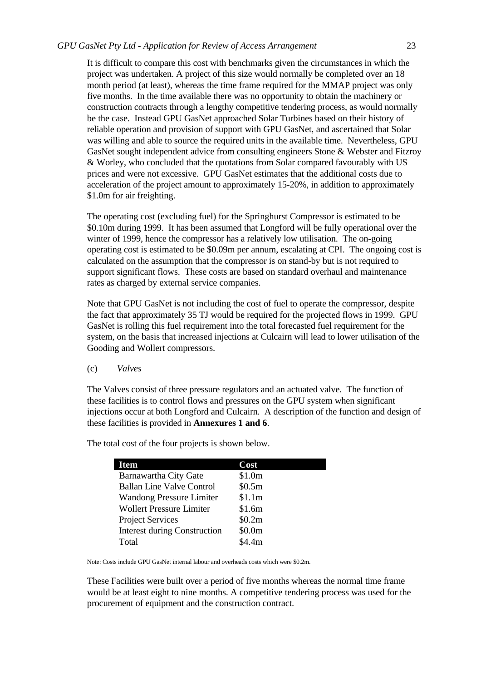It is difficult to compare this cost with benchmarks given the circumstances in which the project was undertaken. A project of this size would normally be completed over an 18 month period (at least), whereas the time frame required for the MMAP project was only five months. In the time available there was no opportunity to obtain the machinery or construction contracts through a lengthy competitive tendering process, as would normally be the case. Instead GPU GasNet approached Solar Turbines based on their history of reliable operation and provision of support with GPU GasNet, and ascertained that Solar was willing and able to source the required units in the available time. Nevertheless, GPU GasNet sought independent advice from consulting engineers Stone & Webster and Fitzroy & Worley, who concluded that the quotations from Solar compared favourably with US prices and were not excessive. GPU GasNet estimates that the additional costs due to acceleration of the project amount to approximately 15-20%, in addition to approximately \$1.0m for air freighting.

The operating cost (excluding fuel) for the Springhurst Compressor is estimated to be \$0.10m during 1999. It has been assumed that Longford will be fully operational over the winter of 1999, hence the compressor has a relatively low utilisation. The on-going operating cost is estimated to be \$0.09m per annum, escalating at CPI. The ongoing cost is calculated on the assumption that the compressor is on stand-by but is not required to support significant flows. These costs are based on standard overhaul and maintenance rates as charged by external service companies.

Note that GPU GasNet is not including the cost of fuel to operate the compressor, despite the fact that approximately 35 TJ would be required for the projected flows in 1999. GPU GasNet is rolling this fuel requirement into the total forecasted fuel requirement for the system, on the basis that increased injections at Culcairn will lead to lower utilisation of the Gooding and Wollert compressors.

(c) *Valves*

The Valves consist of three pressure regulators and an actuated valve. The function of these facilities is to control flows and pressures on the GPU system when significant injections occur at both Longford and Culcairn. A description of the function and design of these facilities is provided in **Annexures 1 and 6**.

| <b>Item</b>                         | Cost   |
|-------------------------------------|--------|
| Barnawartha City Gate               | \$1.0m |
| <b>Ballan Line Valve Control</b>    | \$0.5m |
| <b>Wandong Pressure Limiter</b>     | \$1.1m |
| <b>Wollert Pressure Limiter</b>     | \$1.6m |
| <b>Project Services</b>             | \$0.2m |
| <b>Interest during Construction</b> | \$0.0m |
| Total                               | \$4.4m |

The total cost of the four projects is shown below.

Note: Costs include GPU GasNet internal labour and overheads costs which were \$0.2m.

These Facilities were built over a period of five months whereas the normal time frame would be at least eight to nine months. A competitive tendering process was used for the procurement of equipment and the construction contract.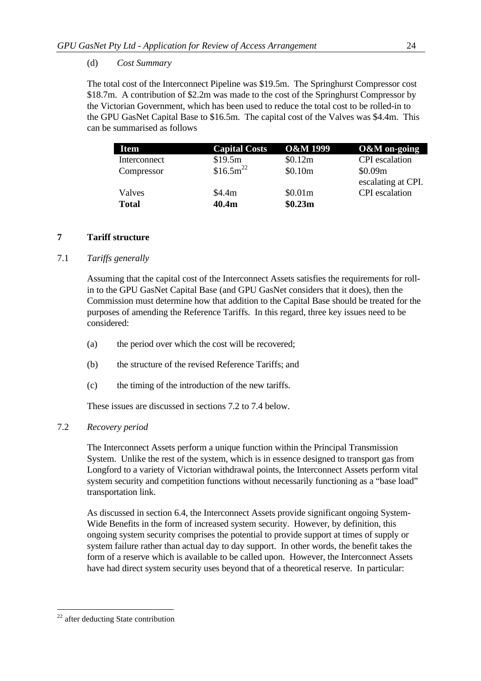# (d) *Cost Summary*

The total cost of the Interconnect Pipeline was \$19.5m. The Springhurst Compressor cost \$18.7m. A contribution of \$2.2m was made to the cost of the Springhurst Compressor by the Victorian Government, which has been used to reduce the total cost to be rolled-in to the GPU GasNet Capital Base to \$16.5m. The capital cost of the Valves was \$4.4m. This can be summarised as follows

| <b>Item</b>  | <b>Capital Costs</b> | <b>O&amp;M 1999</b> | <b>O&amp;M</b> on-going |
|--------------|----------------------|---------------------|-------------------------|
| Interconnect | \$19.5m              | \$0.12m             | <b>CPI</b> escalation   |
| Compressor   | $$16.5m^{22}$        | \$0.10m             | \$0.09m                 |
|              |                      |                     | escalating at CPI.      |
| Valves       | \$4.4m               | \$0.01m             | <b>CPI</b> escalation   |
| <b>Total</b> | 40.4m                | \$0.23m             |                         |

# **7 Tariff structure**

# 7.1 *Tariffs generally*

Assuming that the capital cost of the Interconnect Assets satisfies the requirements for rollin to the GPU GasNet Capital Base (and GPU GasNet considers that it does), then the Commission must determine how that addition to the Capital Base should be treated for the purposes of amending the Reference Tariffs. In this regard, three key issues need to be considered:

- (a) the period over which the cost will be recovered;
- (b) the structure of the revised Reference Tariffs; and
- (c) the timing of the introduction of the new tariffs.

These issues are discussed in sections 7.2 to 7.4 below.

## 7.2 *Recovery period*

The Interconnect Assets perform a unique function within the Principal Transmission System. Unlike the rest of the system, which is in essence designed to transport gas from Longford to a variety of Victorian withdrawal points, the Interconnect Assets perform vital system security and competition functions without necessarily functioning as a "base load" transportation link.

As discussed in section 6.4, the Interconnect Assets provide significant ongoing System-Wide Benefits in the form of increased system security. However, by definition, this ongoing system security comprises the potential to provide support at times of supply or system failure rather than actual day to day support. In other words, the benefit takes the form of a reserve which is available to be called upon. However, the Interconnect Assets have had direct system security uses beyond that of a theoretical reserve. In particular:

 $22$  after deducting State contribution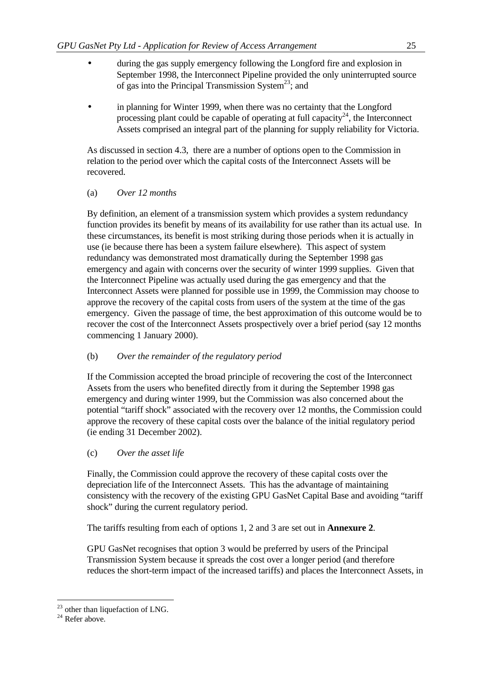- during the gas supply emergency following the Longford fire and explosion in September 1998, the Interconnect Pipeline provided the only uninterrupted source of gas into the Principal Transmission System<sup>23</sup>; and
- in planning for Winter 1999, when there was no certainty that the Longford processing plant could be capable of operating at full capacity<sup>24</sup>, the Interconnect Assets comprised an integral part of the planning for supply reliability for Victoria.

As discussed in section 4.3, there are a number of options open to the Commission in relation to the period over which the capital costs of the Interconnect Assets will be recovered.

## (a) *Over 12 months*

By definition, an element of a transmission system which provides a system redundancy function provides its benefit by means of its availability for use rather than its actual use. In these circumstances, its benefit is most striking during those periods when it is actually in use (ie because there has been a system failure elsewhere). This aspect of system redundancy was demonstrated most dramatically during the September 1998 gas emergency and again with concerns over the security of winter 1999 supplies. Given that the Interconnect Pipeline was actually used during the gas emergency and that the Interconnect Assets were planned for possible use in 1999, the Commission may choose to approve the recovery of the capital costs from users of the system at the time of the gas emergency. Given the passage of time, the best approximation of this outcome would be to recover the cost of the Interconnect Assets prospectively over a brief period (say 12 months commencing 1 January 2000).

## (b) *Over the remainder of the regulatory period*

If the Commission accepted the broad principle of recovering the cost of the Interconnect Assets from the users who benefited directly from it during the September 1998 gas emergency and during winter 1999, but the Commission was also concerned about the potential "tariff shock" associated with the recovery over 12 months, the Commission could approve the recovery of these capital costs over the balance of the initial regulatory period (ie ending 31 December 2002).

# (c) *Over the asset life*

Finally, the Commission could approve the recovery of these capital costs over the depreciation life of the Interconnect Assets. This has the advantage of maintaining consistency with the recovery of the existing GPU GasNet Capital Base and avoiding "tariff shock" during the current regulatory period.

The tariffs resulting from each of options 1, 2 and 3 are set out in **Annexure 2**.

GPU GasNet recognises that option 3 would be preferred by users of the Principal Transmission System because it spreads the cost over a longer period (and therefore reduces the short-term impact of the increased tariffs) and places the Interconnect Assets, in

 $23$  other than liquefaction of LNG.

 $24$  Refer above.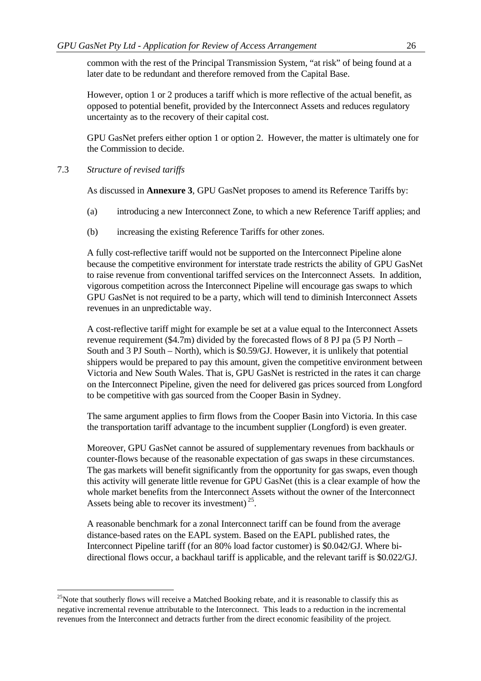common with the rest of the Principal Transmission System, "at risk" of being found at a later date to be redundant and therefore removed from the Capital Base.

However, option 1 or 2 produces a tariff which is more reflective of the actual benefit, as opposed to potential benefit, provided by the Interconnect Assets and reduces regulatory uncertainty as to the recovery of their capital cost.

GPU GasNet prefers either option 1 or option 2. However, the matter is ultimately one for the Commission to decide.

7.3 *Structure of revised tariffs*

l

As discussed in **Annexure 3**, GPU GasNet proposes to amend its Reference Tariffs by:

- (a) introducing a new Interconnect Zone, to which a new Reference Tariff applies; and
- (b) increasing the existing Reference Tariffs for other zones.

A fully cost-reflective tariff would not be supported on the Interconnect Pipeline alone because the competitive environment for interstate trade restricts the ability of GPU GasNet to raise revenue from conventional tariffed services on the Interconnect Assets. In addition, vigorous competition across the Interconnect Pipeline will encourage gas swaps to which GPU GasNet is not required to be a party, which will tend to diminish Interconnect Assets revenues in an unpredictable way.

A cost-reflective tariff might for example be set at a value equal to the Interconnect Assets revenue requirement (\$4.7m) divided by the forecasted flows of 8 PJ pa (5 PJ North – South and 3 PJ South – North), which is \$0.59/GJ. However, it is unlikely that potential shippers would be prepared to pay this amount, given the competitive environment between Victoria and New South Wales. That is, GPU GasNet is restricted in the rates it can charge on the Interconnect Pipeline, given the need for delivered gas prices sourced from Longford to be competitive with gas sourced from the Cooper Basin in Sydney.

The same argument applies to firm flows from the Cooper Basin into Victoria. In this case the transportation tariff advantage to the incumbent supplier (Longford) is even greater.

Moreover, GPU GasNet cannot be assured of supplementary revenues from backhauls or counter-flows because of the reasonable expectation of gas swaps in these circumstances. The gas markets will benefit significantly from the opportunity for gas swaps, even though this activity will generate little revenue for GPU GasNet (this is a clear example of how the whole market benefits from the Interconnect Assets without the owner of the Interconnect Assets being able to recover its investment)<sup>25</sup>.

A reasonable benchmark for a zonal Interconnect tariff can be found from the average distance-based rates on the EAPL system. Based on the EAPL published rates, the Interconnect Pipeline tariff (for an 80% load factor customer) is \$0.042/GJ. Where bidirectional flows occur, a backhaul tariff is applicable, and the relevant tariff is \$0.022/GJ.

<sup>&</sup>lt;sup>25</sup>Note that southerly flows will receive a Matched Booking rebate, and it is reasonable to classify this as negative incremental revenue attributable to the Interconnect. This leads to a reduction in the incremental revenues from the Interconnect and detracts further from the direct economic feasibility of the project.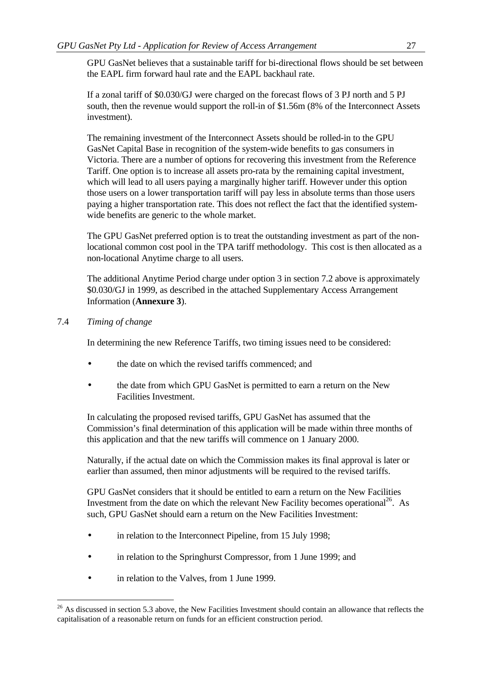GPU GasNet believes that a sustainable tariff for bi-directional flows should be set between the EAPL firm forward haul rate and the EAPL backhaul rate.

If a zonal tariff of \$0.030/GJ were charged on the forecast flows of 3 PJ north and 5 PJ south, then the revenue would support the roll-in of \$1.56m (8% of the Interconnect Assets investment).

The remaining investment of the Interconnect Assets should be rolled-in to the GPU GasNet Capital Base in recognition of the system-wide benefits to gas consumers in Victoria. There are a number of options for recovering this investment from the Reference Tariff. One option is to increase all assets pro-rata by the remaining capital investment, which will lead to all users paying a marginally higher tariff. However under this option those users on a lower transportation tariff will pay less in absolute terms than those users paying a higher transportation rate. This does not reflect the fact that the identified systemwide benefits are generic to the whole market.

The GPU GasNet preferred option is to treat the outstanding investment as part of the nonlocational common cost pool in the TPA tariff methodology. This cost is then allocated as a non-locational Anytime charge to all users.

The additional Anytime Period charge under option 3 in section 7.2 above is approximately \$0.030/GJ in 1999, as described in the attached Supplementary Access Arrangement Information (**Annexure 3**).

# 7.4 *Timing of change*

l

In determining the new Reference Tariffs, two timing issues need to be considered:

- the date on which the revised tariffs commenced; and
- the date from which GPU GasNet is permitted to earn a return on the New Facilities Investment.

In calculating the proposed revised tariffs, GPU GasNet has assumed that the Commission's final determination of this application will be made within three months of this application and that the new tariffs will commence on 1 January 2000.

Naturally, if the actual date on which the Commission makes its final approval is later or earlier than assumed, then minor adjustments will be required to the revised tariffs.

GPU GasNet considers that it should be entitled to earn a return on the New Facilities Investment from the date on which the relevant New Facility becomes operational<sup>26</sup>. As such, GPU GasNet should earn a return on the New Facilities Investment:

- in relation to the Interconnect Pipeline, from 15 July 1998;
- in relation to the Springhurst Compressor, from 1 June 1999; and
- in relation to the Valves, from 1 June 1999.

 $^{26}$  As discussed in section 5.3 above, the New Facilities Investment should contain an allowance that reflects the capitalisation of a reasonable return on funds for an efficient construction period.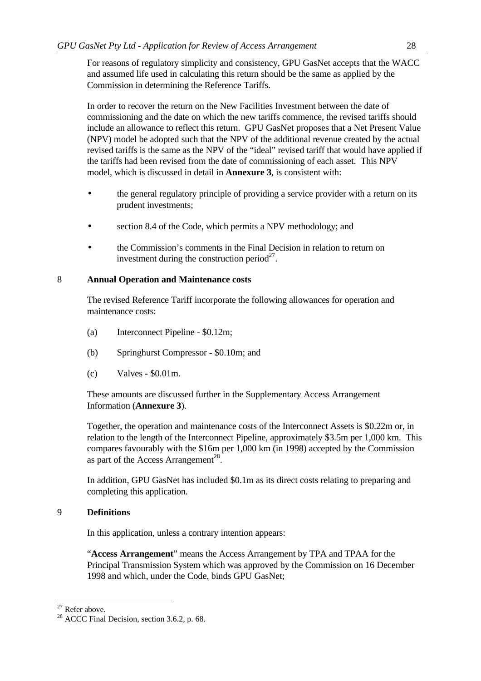For reasons of regulatory simplicity and consistency, GPU GasNet accepts that the WACC and assumed life used in calculating this return should be the same as applied by the Commission in determining the Reference Tariffs.

In order to recover the return on the New Facilities Investment between the date of commissioning and the date on which the new tariffs commence, the revised tariffs should include an allowance to reflect this return. GPU GasNet proposes that a Net Present Value (NPV) model be adopted such that the NPV of the additional revenue created by the actual revised tariffs is the same as the NPV of the "ideal" revised tariff that would have applied if the tariffs had been revised from the date of commissioning of each asset. This NPV model, which is discussed in detail in **Annexure 3**, is consistent with:

- the general regulatory principle of providing a service provider with a return on its prudent investments;
- section 8.4 of the Code, which permits a NPV methodology; and
- the Commission's comments in the Final Decision in relation to return on investment during the construction period $2^7$ .

# 8 **Annual Operation and Maintenance costs**

The revised Reference Tariff incorporate the following allowances for operation and maintenance costs:

- (a) Interconnect Pipeline \$0.12m;
- (b) Springhurst Compressor \$0.10m; and
- (c) Valves \$0.01m.

These amounts are discussed further in the Supplementary Access Arrangement Information (**Annexure 3**).

Together, the operation and maintenance costs of the Interconnect Assets is \$0.22m or, in relation to the length of the Interconnect Pipeline, approximately \$3.5m per 1,000 km. This compares favourably with the \$16m per 1,000 km (in 1998) accepted by the Commission as part of the Access Arrangement<sup>28</sup>.

In addition, GPU GasNet has included \$0.1m as its direct costs relating to preparing and completing this application.

## 9 **Definitions**

In this application, unless a contrary intention appears:

"**Access Arrangement**" means the Access Arrangement by TPA and TPAA for the Principal Transmission System which was approved by the Commission on 16 December 1998 and which, under the Code, binds GPU GasNet;

 $27$  Refer above.

<sup>&</sup>lt;sup>28</sup> ACCC Final Decision, section 3.6.2, p. 68.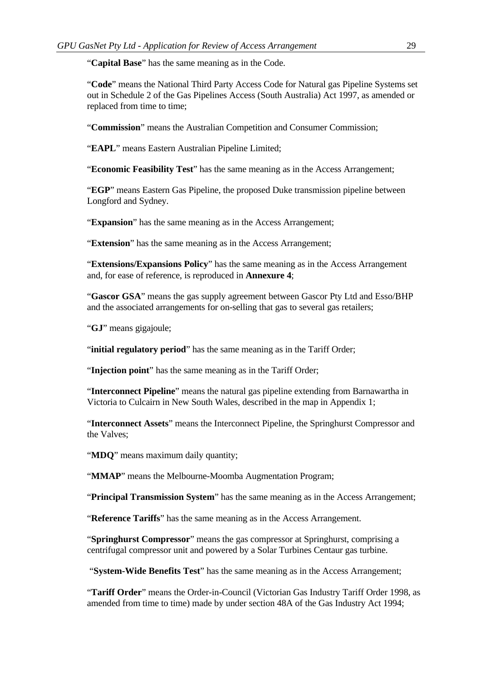"**Capital Base**" has the same meaning as in the Code.

"**Code**" means the National Third Party Access Code for Natural gas Pipeline Systems set out in Schedule 2 of the Gas Pipelines Access (South Australia) Act 1997, as amended or replaced from time to time;

"**Commission**" means the Australian Competition and Consumer Commission;

"**EAPL**" means Eastern Australian Pipeline Limited;

"**Economic Feasibility Test**" has the same meaning as in the Access Arrangement;

"**EGP**" means Eastern Gas Pipeline, the proposed Duke transmission pipeline between Longford and Sydney.

"**Expansion**" has the same meaning as in the Access Arrangement;

"**Extension**" has the same meaning as in the Access Arrangement;

"**Extensions/Expansions Policy**" has the same meaning as in the Access Arrangement and, for ease of reference, is reproduced in **Annexure 4**;

"**Gascor GSA**" means the gas supply agreement between Gascor Pty Ltd and Esso/BHP and the associated arrangements for on-selling that gas to several gas retailers;

"**GJ**" means gigajoule;

"**initial regulatory period**" has the same meaning as in the Tariff Order;

"**Injection point**" has the same meaning as in the Tariff Order;

"**Interconnect Pipeline**" means the natural gas pipeline extending from Barnawartha in Victoria to Culcairn in New South Wales, described in the map in Appendix 1;

"**Interconnect Assets**" means the Interconnect Pipeline, the Springhurst Compressor and the Valves;

"**MDQ**" means maximum daily quantity;

"**MMAP**" means the Melbourne-Moomba Augmentation Program;

"**Principal Transmission System**" has the same meaning as in the Access Arrangement;

"**Reference Tariffs**" has the same meaning as in the Access Arrangement.

"**Springhurst Compressor**" means the gas compressor at Springhurst, comprising a centrifugal compressor unit and powered by a Solar Turbines Centaur gas turbine.

"**System-Wide Benefits Test**" has the same meaning as in the Access Arrangement;

"**Tariff Order**" means the Order-in-Council (Victorian Gas Industry Tariff Order 1998, as amended from time to time) made by under section 48A of the Gas Industry Act 1994;